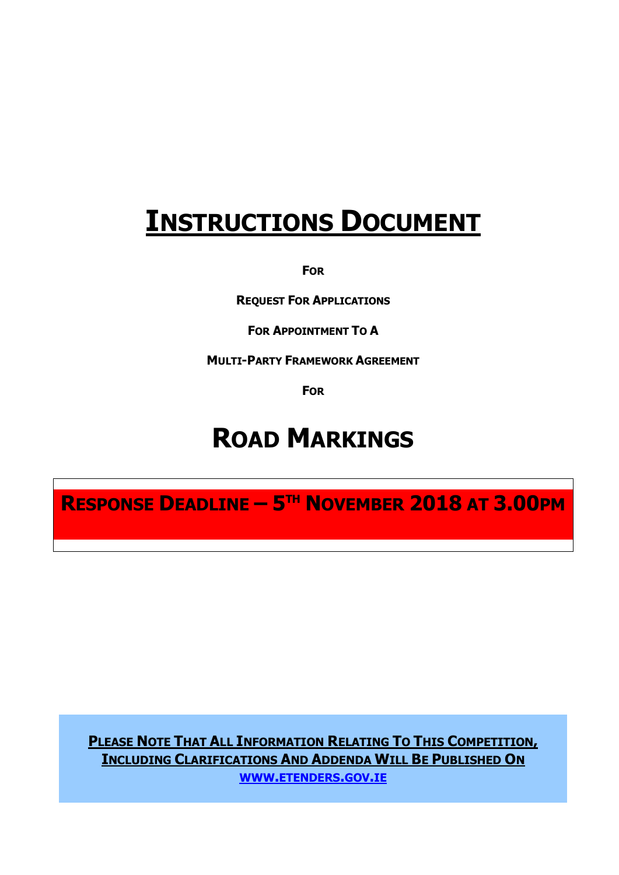# **INSTRUCTIONS DOCUMENT**

**FOR**

**REQUEST FOR APPLICATIONS**

**FOR APPOINTMENT TO A**

**MULTI-PARTY FRAMEWORK AGREEMENT**

**FOR**

## **ROAD MARKINGS**

**RESPONSE DEADLINE – 5TH NOVEMBER 2018 AT 3.00PM**

**PLEASE NOTE THAT ALL INFORMATION RELATING TO THIS COMPETITION, INCLUDING CLARIFICATIONS AND ADDENDA WILL BE PUBLISHED ON WWW.ETENDERS.GOV.IE**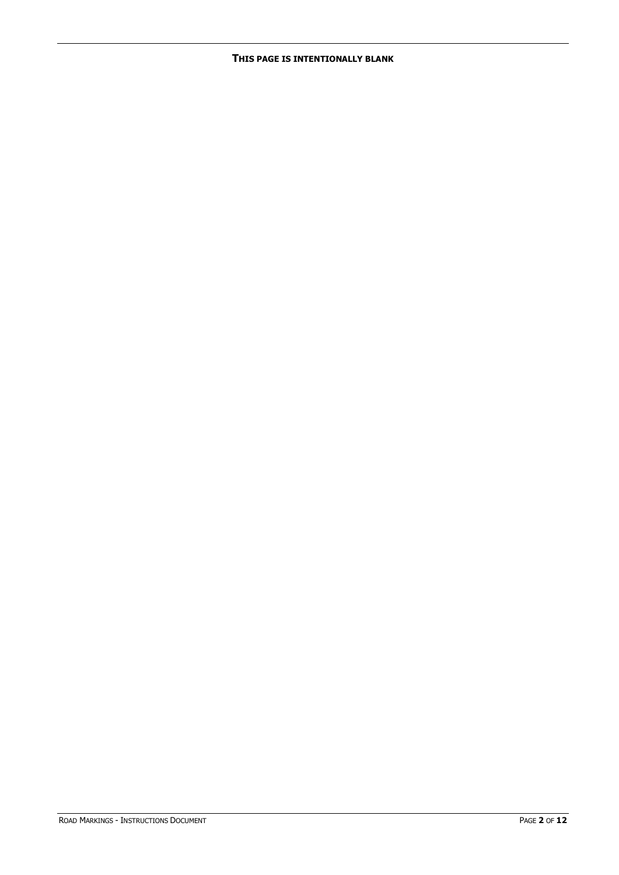#### **THIS PAGE IS INTENTIONALLY BLANK**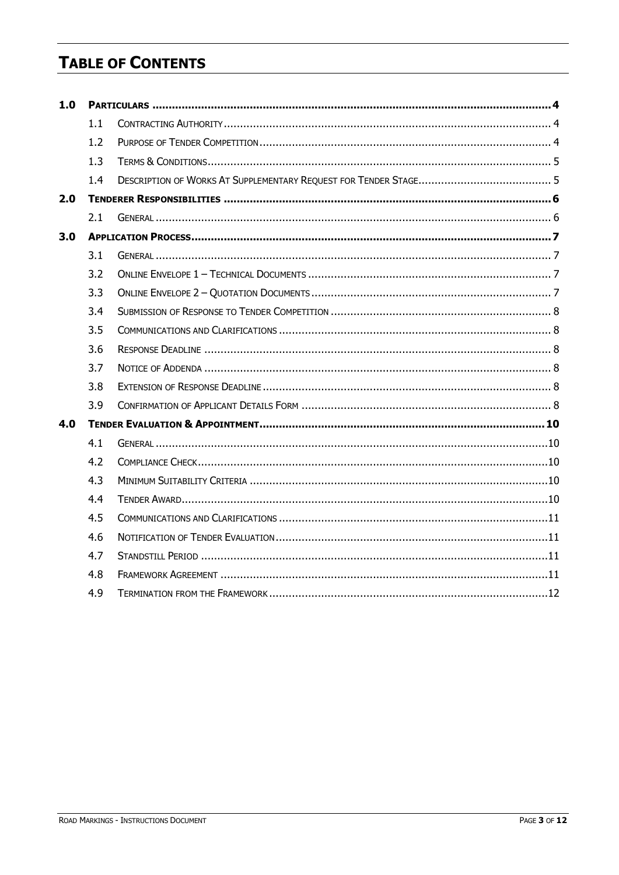## **TABLE OF CONTENTS**

| 1.0 |     |  |  |  |  |
|-----|-----|--|--|--|--|
|     | 1.1 |  |  |  |  |
|     | 1.2 |  |  |  |  |
|     | 1.3 |  |  |  |  |
|     | 1.4 |  |  |  |  |
| 2.0 |     |  |  |  |  |
|     | 2.1 |  |  |  |  |
| 3.0 |     |  |  |  |  |
|     | 3.1 |  |  |  |  |
|     | 3.2 |  |  |  |  |
|     | 3.3 |  |  |  |  |
|     | 3.4 |  |  |  |  |
|     | 3.5 |  |  |  |  |
|     | 3.6 |  |  |  |  |
|     | 3.7 |  |  |  |  |
|     | 3.8 |  |  |  |  |
|     | 3.9 |  |  |  |  |
| 4.0 |     |  |  |  |  |
|     | 4.1 |  |  |  |  |
|     | 4.2 |  |  |  |  |
|     | 4.3 |  |  |  |  |
|     | 4.4 |  |  |  |  |
|     | 4.5 |  |  |  |  |
|     | 4.6 |  |  |  |  |
|     | 4.7 |  |  |  |  |
|     | 4.8 |  |  |  |  |
|     | 4.9 |  |  |  |  |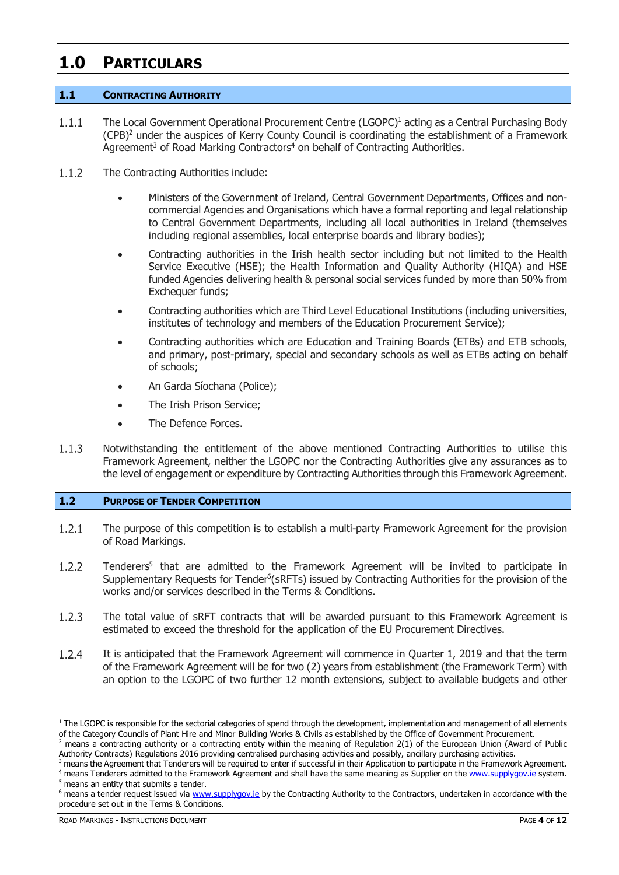## **1.0 PARTICULARS**

#### **1.1 CONTRACTING AUTHORITY**

- $1.1.1$ The Local Government Operational Procurement Centre (LGOPC)<sup>1</sup> acting as a Central Purchasing Body (CPB)2 under the auspices of Kerry County Council is coordinating the establishment of a Framework Agreement<sup>3</sup> of Road Marking Contractors<sup>4</sup> on behalf of Contracting Authorities.
- $1.1.2$ The Contracting Authorities include:
	- · Ministers of the Government of Ireland, Central Government Departments, Offices and noncommercial Agencies and Organisations which have a formal reporting and legal relationship to Central Government Departments, including all local authorities in Ireland (themselves including regional assemblies, local enterprise boards and library bodies);
	- · Contracting authorities in the Irish health sector including but not limited to the Health Service Executive (HSE); the Health Information and Quality Authority (HIQA) and HSE funded Agencies delivering health & personal social services funded by more than 50% from Exchequer funds:
	- · Contracting authorities which are Third Level Educational Institutions (including universities, institutes of technology and members of the Education Procurement Service);
	- · Contracting authorities which are Education and Training Boards (ETBs) and ETB schools, and primary, post-primary, special and secondary schools as well as ETBs acting on behalf of schools;
	- · An Garda Síochana (Police);
	- The Irish Prison Service:
	- The Defence Forces.
- $1.1.3$ Notwithstanding the entitlement of the above mentioned Contracting Authorities to utilise this Framework Agreement, neither the LGOPC nor the Contracting Authorities give any assurances as to the level of engagement or expenditure by Contracting Authorities through this Framework Agreement.

#### **1.2 PURPOSE OF TENDER COMPETITION**

- $1.2.1$ The purpose of this competition is to establish a multi-party Framework Agreement for the provision of Road Markings.
- $1.2.2$ Tenderers5 that are admitted to the Framework Agreement will be invited to participate in Supplementary Requests for Tender<sup>6</sup>(SRFTs) issued by Contracting Authorities for the provision of the works and/or services described in the Terms & Conditions.
- $1.2.3$ The total value of sRFT contracts that will be awarded pursuant to this Framework Agreement is estimated to exceed the threshold for the application of the EU Procurement Directives.
- $1.2.4$ It is anticipated that the Framework Agreement will commence in Quarter 1, 2019 and that the term of the Framework Agreement will be for two (2) years from establishment (the Framework Term) with an option to the LGOPC of two further 12 month extensions, subject to available budgets and other

ROAD MARKINGS - INSTRUCTIONS DOCUMENT **And A** CONSERVATION CONSERVATION PAGE 4 OF 12

 $1$  The LGOPC is responsible for the sectorial categories of spend through the development, implementation and management of all elements of the Category Councils of Plant Hire and Minor Building Works & Civils as established by the Office of Government Procurement.

<sup>2</sup> means a contracting authority or a contracting entity within the meaning of Regulation 2(1) of the European Union (Award of Public Authority Contracts) Regulations 2016 providing centralised purchasing activities and possibly, ancillary purchasing activities.

 $3$  means the Agreement that Tenderers will be required to enter if successful in their Application to participate in the Framework Agreement. <sup>4</sup> means Tenderers admitted to the Framework Agreement and shall have the same meaning as Supplier on the www.supplygov.ie system.

<sup>&</sup>lt;sup>5</sup> means an entity that submits a tender.

<sup>&</sup>lt;sup>6</sup> means a tender request issued via www.supplygov.ie by the Contracting Authority to the Contractors, undertaken in accordance with the procedure set out in the Terms & Conditions.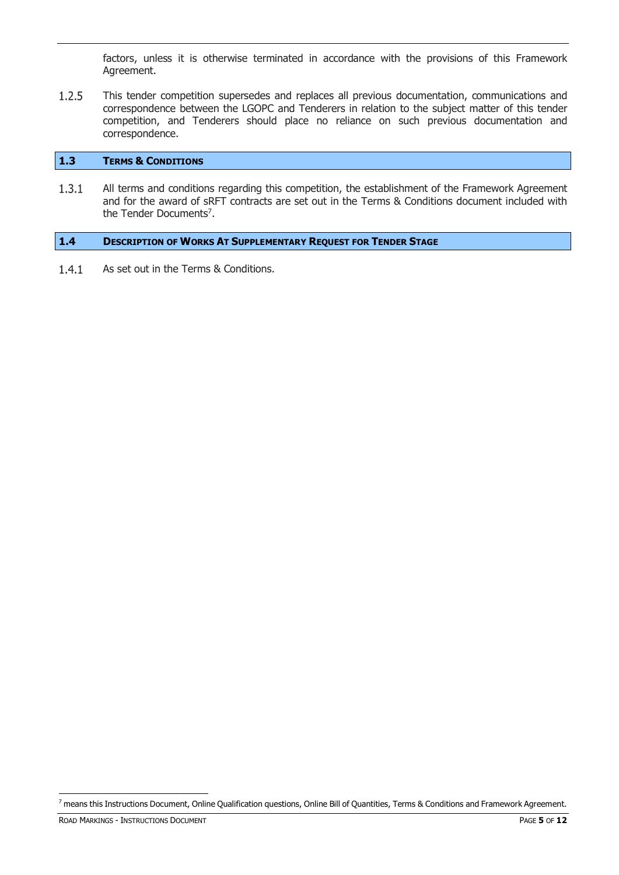factors, unless it is otherwise terminated in accordance with the provisions of this Framework Agreement.

1.2.5 This tender competition supersedes and replaces all previous documentation, communications and correspondence between the LGOPC and Tenderers in relation to the subject matter of this tender competition, and Tenderers should place no reliance on such previous documentation and correspondence.

#### **1.3 TERMS & CONDITIONS**

 $1.3.1$ All terms and conditions regarding this competition, the establishment of the Framework Agreement and for the award of sRFT contracts are set out in the Terms & Conditions document included with the Tender Documents7.

#### **1.4 DESCRIPTION OF WORKS AT SUPPLEMENTARY REQUEST FOR TENDER STAGE**

 $1.4.1$ As set out in the Terms & Conditions.

 $^7$  means this Instructions Document, Online Qualification questions, Online Bill of Quantities, Terms & Conditions and Framework Agreement.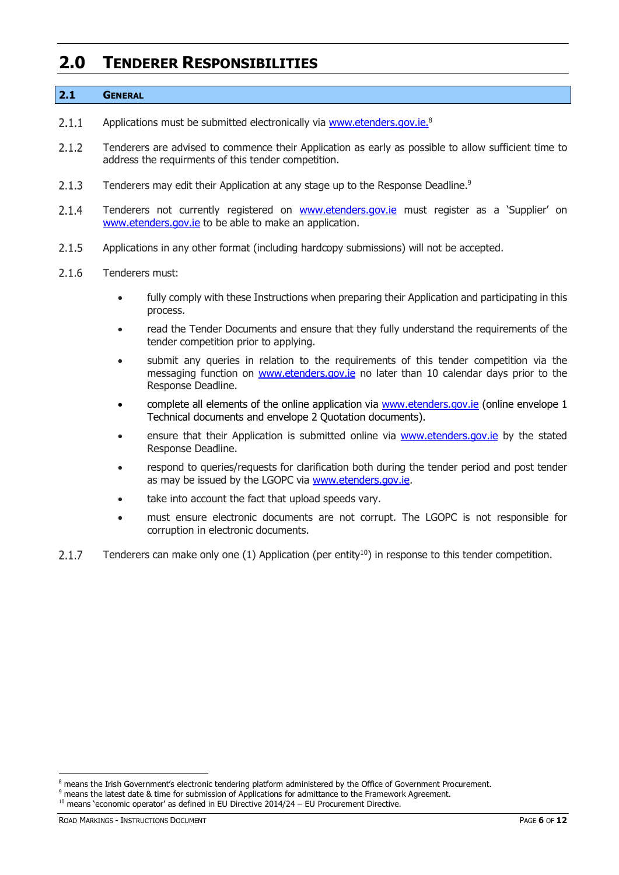## **2.0 TENDERER RESPONSIBILITIES**

#### **2.1 GENERAL**

- $2.1.1$ Applications must be submitted electronically via **www.etenders.gov.ie.**8
- $2.1.2$ Tenderers are advised to commence their Application as early as possible to allow sufficient time to address the requirments of this tender competition.
- $2.1.3$ Tenderers may edit their Application at any stage up to the Response Deadline.<sup>9</sup>
- $2.1.4$ Tenderers not currently registered on **www.etenders.gov.ie** must register as a 'Supplier' on www.etenders.gov.ie to be able to make an application.
- $2.1.5$ Applications in any other format (including hardcopy submissions) will not be accepted.
- $2.1.6$ Tenderers must:
	- fully comply with these Instructions when preparing their Application and participating in this process.
	- · read the Tender Documents and ensure that they fully understand the requirements of the tender competition prior to applying.
	- submit any queries in relation to the requirements of this tender competition via the messaging function on www.etenders.gov.ie no later than 10 calendar days prior to the Response Deadline.
	- complete all elements of the online application via www.etenders.gov.ie (online envelope 1 Technical documents and envelope 2 Quotation documents).
	- ensure that their Application is submitted online via www.etenders.gov.ie by the stated Response Deadline.
	- respond to queries/requests for clarification both during the tender period and post tender as may be issued by the LGOPC via www.etenders.gov.ie.
	- take into account the fact that upload speeds vary.
	- must ensure electronic documents are not corrupt. The LGOPC is not responsible for corruption in electronic documents.
- $2.1.7$ Tenderers can make only one  $(1)$  Application (per entity<sup>10</sup>) in response to this tender competition.

ROAD MARKINGS - INSTRUCTIONS DOCUMENT PAGE **6** OF **12**

<sup>8</sup> means the Irish Government's electronic tendering platform administered by the Office of Government Procurement.

<sup>9</sup> means the latest date & time for submission of Applications for admittance to the Framework Agreement.

<sup>&</sup>lt;sup>10</sup> means 'economic operator' as defined in EU Directive 2014/24 – EU Procurement Directive.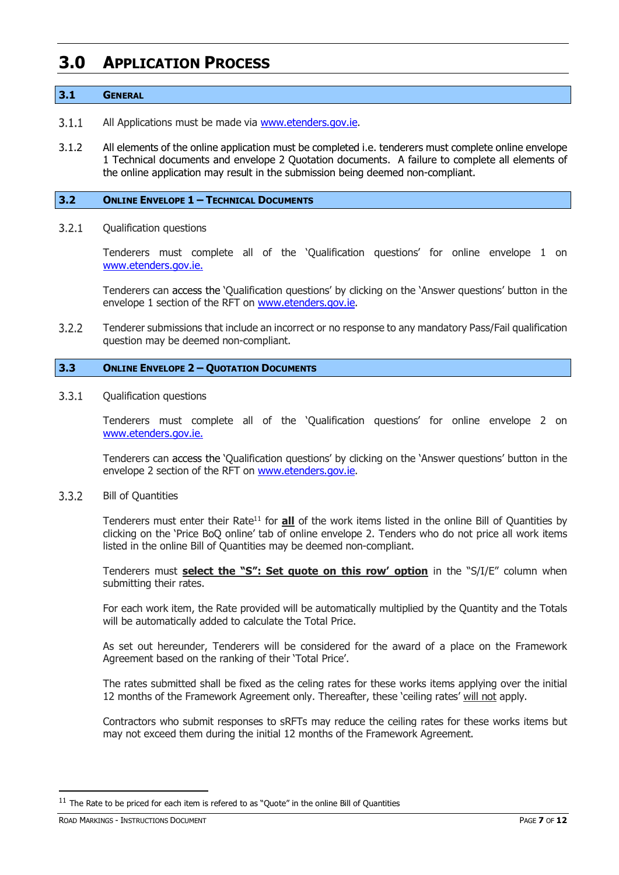## **3.0 APPLICATION PROCESS**

#### **3.1 GENERAL**

- $3.1.1$ All Applications must be made via www.etenders.gov.je.
- 3.1.2 All elements of the online application must be completed i.e. tenderers must complete online envelope 1 Technical documents and envelope 2 Quotation documents. A failure to complete all elements of the online application may result in the submission being deemed non-compliant.

#### **3.2 ONLINE ENVELOPE 1 – TECHNICAL DOCUMENTS**

 $3.2.1$ Qualification questions

> Tenderers must complete all of the 'Qualification questions' for online envelope 1 on www.etenders.gov.ie.

> Tenderers can access the 'Qualification questions' by clicking on the 'Answer questions' button in the envelope 1 section of the RFT on www.etenders.gov.ie.

 $3.2.2$ Tenderer submissions that include an incorrect or no response to any mandatory Pass/Fail qualification question may be deemed non-compliant.

#### **3.3 ONLINE ENVELOPE 2 – QUOTATION DOCUMENTS**

 $3.3.1$ Qualification questions

> Tenderers must complete all of the 'Qualification questions' for online envelope 2 on www.etenders.gov.ie.

> Tenderers can access the 'Qualification questions' by clicking on the 'Answer questions' button in the envelope 2 section of the RFT on www.etenders.gov.ie.

 $3.3.2$ Bill of Quantities

> Tenderers must enter their Rate<sup>11</sup> for **all** of the work items listed in the online Bill of Quantities by clicking on the 'Price BoQ online' tab of online envelope 2. Tenders who do not price all work items listed in the online Bill of Quantities may be deemed non-compliant.

> Tenderers must **select the "S": Set quote on this row' option** in the "S/I/E" column when submitting their rates.

> For each work item, the Rate provided will be automatically multiplied by the Quantity and the Totals will be automatically added to calculate the Total Price.

> As set out hereunder, Tenderers will be considered for the award of a place on the Framework Agreement based on the ranking of their 'Total Price'.

> The rates submitted shall be fixed as the celing rates for these works items applying over the initial 12 months of the Framework Agreement only. Thereafter, these 'ceiling rates' will not apply.

> Contractors who submit responses to sRFTs may reduce the ceiling rates for these works items but may not exceed them during the initial 12 months of the Framework Agreement.

 $11$  The Rate to be priced for each item is refered to as "Quote" in the online Bill of Quantities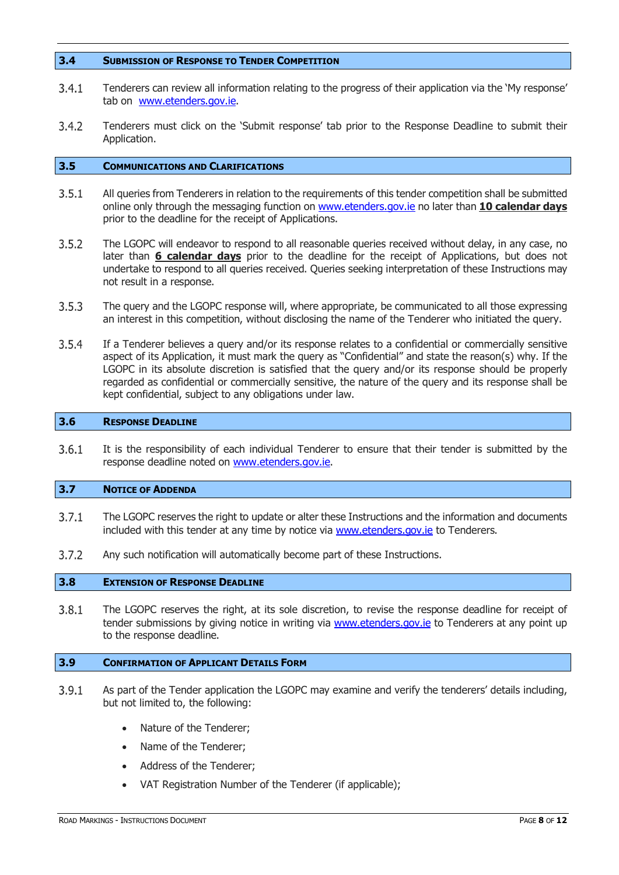#### **3.4 SUBMISSION OF RESPONSE TO TENDER COMPETITION**

- $3.4.1$ Tenderers can review all information relating to the progress of their application via the 'My response' tab on www.etenders.gov.ie.
- $3.4.2$ Tenderers must click on the 'Submit response' tab prior to the Response Deadline to submit their Application.

#### **3.5 COMMUNICATIONS AND CLARIFICATIONS**

- $3.5.1$ All queries from Tenderers in relation to the requirements of this tender competition shall be submitted online only through the messaging function on www.etenders.gov.ie no later than **10 calendar days** prior to the deadline for the receipt of Applications.
- $3.5.2$ The LGOPC will endeavor to respond to all reasonable queries received without delay, in any case, no later than **6 calendar days** prior to the deadline for the receipt of Applications, but does not undertake to respond to all queries received. Queries seeking interpretation of these Instructions may not result in a response.
- 3.5.3 The query and the LGOPC response will, where appropriate, be communicated to all those expressing an interest in this competition, without disclosing the name of the Tenderer who initiated the query.
- $3.5.4$ If a Tenderer believes a query and/or its response relates to a confidential or commercially sensitive aspect of its Application, it must mark the query as "Confidential" and state the reason(s) why. If the LGOPC in its absolute discretion is satisfied that the query and/or its response should be properly regarded as confidential or commercially sensitive, the nature of the query and its response shall be kept confidential, subject to any obligations under law.

#### **3.6 RESPONSE DEADLINE**

 $3.6.1$ It is the responsibility of each individual Tenderer to ensure that their tender is submitted by the response deadline noted on www.etenders.gov.ie.

#### **3.7 NOTICE OF ADDENDA**

- $3.7.1$ The LGOPC reserves the right to update or alter these Instructions and the information and documents included with this tender at any time by notice via www.etenders.gov.ie to Tenderers.
- $3.7.2$ Any such notification will automatically become part of these Instructions.

#### **3.8 EXTENSION OF RESPONSE DEADLINE**

3.8.1 The LGOPC reserves the right, at its sole discretion, to revise the response deadline for receipt of tender submissions by giving notice in writing via www.etenders.gov.ie to Tenderers at any point up to the response deadline.

#### **3.9 CONFIRMATION OF APPLICANT DETAILS FORM**

- $3.9.1$ As part of the Tender application the LGOPC may examine and verify the tenderers' details including, but not limited to, the following:
	- Nature of the Tenderer;
	- Name of the Tenderer:
	- Address of the Tenderer;
	- · VAT Registration Number of the Tenderer (if applicable);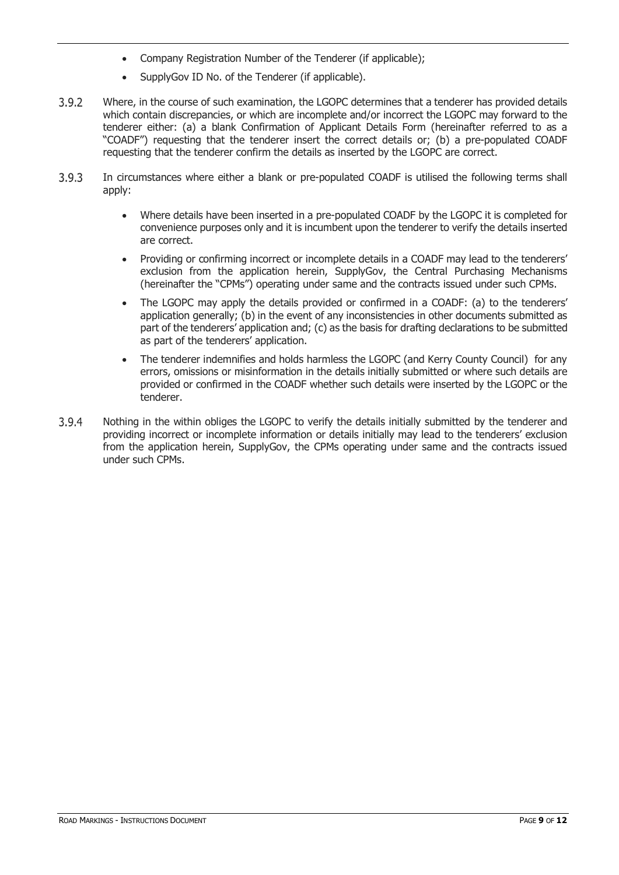- · Company Registration Number of the Tenderer (if applicable);
- · SupplyGov ID No. of the Tenderer (if applicable).
- $3.9.2$ Where, in the course of such examination, the LGOPC determines that a tenderer has provided details which contain discrepancies, or which are incomplete and/or incorrect the LGOPC may forward to the tenderer either: (a) a blank Confirmation of Applicant Details Form (hereinafter referred to as a "COADF") requesting that the tenderer insert the correct details or; (b) a pre-populated COADF requesting that the tenderer confirm the details as inserted by the LGOPC are correct.
- $3.9.3$ In circumstances where either a blank or pre-populated COADF is utilised the following terms shall apply:
	- · Where details have been inserted in a pre-populated COADF by the LGOPC it is completed for convenience purposes only and it is incumbent upon the tenderer to verify the details inserted are correct.
	- · Providing or confirming incorrect or incomplete details in a COADF may lead to the tenderers' exclusion from the application herein, SupplyGov, the Central Purchasing Mechanisms (hereinafter the "CPMs") operating under same and the contracts issued under such CPMs.
	- The LGOPC may apply the details provided or confirmed in a COADF: (a) to the tenderers' application generally; (b) in the event of any inconsistencies in other documents submitted as part of the tenderers' application and; (c) as the basis for drafting declarations to be submitted as part of the tenderers' application.
	- The tenderer indemnifies and holds harmless the LGOPC (and Kerry County Council) for any errors, omissions or misinformation in the details initially submitted or where such details are provided or confirmed in the COADF whether such details were inserted by the LGOPC or the tenderer.
- $3.9.4$ Nothing in the within obliges the LGOPC to verify the details initially submitted by the tenderer and providing incorrect or incomplete information or details initially may lead to the tenderers' exclusion from the application herein, SupplyGov, the CPMs operating under same and the contracts issued under such CPMs.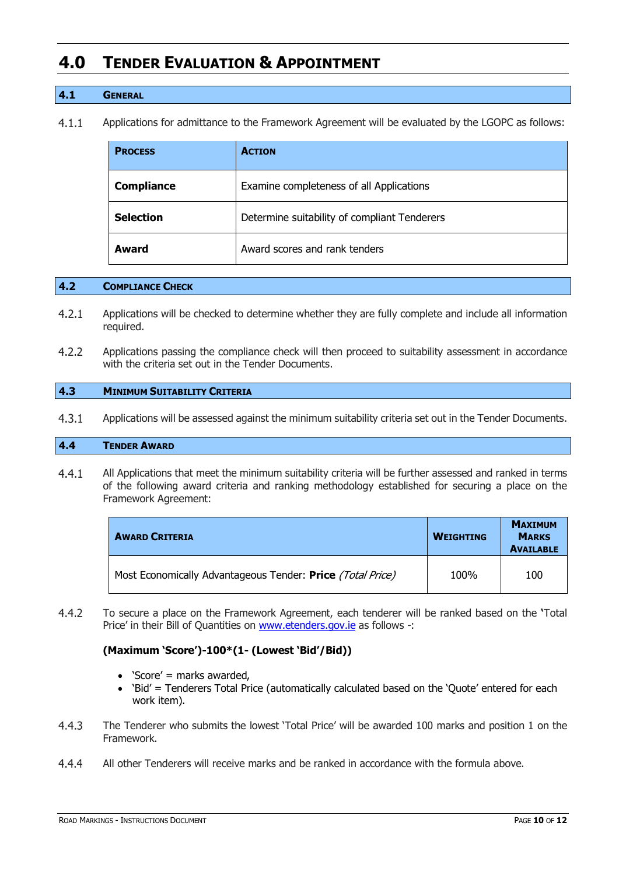### **4.0 TENDER EVALUATION & APPOINTMENT**

#### **4.1 GENERAL**

 $4.1.1$ Applications for admittance to the Framework Agreement will be evaluated by the LGOPC as follows:

| <b>PROCESS</b>    | <b>ACTION</b>                                |
|-------------------|----------------------------------------------|
| <b>Compliance</b> | Examine completeness of all Applications     |
| <b>Selection</b>  | Determine suitability of compliant Tenderers |
| Award             | Award scores and rank tenders                |

#### **4.2 COMPLIANCE CHECK**

- $4.2.1$ Applications will be checked to determine whether they are fully complete and include all information required.
- Applications passing the compliance check will then proceed to suitability assessment in accordance  $4.2.2$ with the criteria set out in the Tender Documents.

#### **4.3 MINIMUM SUITABILITY CRITERIA**

431 Applications will be assessed against the minimum suitability criteria set out in the Tender Documents.

#### **4.4 TENDER AWARD**

 $4.4.1$ All Applications that meet the minimum suitability criteria will be further assessed and ranked in terms of the following award criteria and ranking methodology established for securing a place on the Framework Agreement:

| <b>AWARD CRITERIA</b>                                      | <b>WEIGHTING</b> | <b>MAXIMUM</b><br><b>MARKS</b><br><b>AVAILABLE</b> |
|------------------------------------------------------------|------------------|----------------------------------------------------|
| Most Economically Advantageous Tender: Price (Total Price) | 100%             | 100                                                |

 $4.4.2$ To secure a place on the Framework Agreement, each tenderer will be ranked based on the **'**Total Price' in their Bill of Quantities on www.etenders.gov.ie as follows -:

#### **(Maximum 'Score')-100\*(1- (Lowest 'Bid'/Bid))**

- $\bullet$  'Score' = marks awarded,
- · 'Bid' = Tenderers Total Price (automatically calculated based on the 'Quote' entered for each work item).
- $4.4.3$ The Tenderer who submits the lowest 'Total Price' will be awarded 100 marks and position 1 on the Framework.
- $4.4.4$ All other Tenderers will receive marks and be ranked in accordance with the formula above.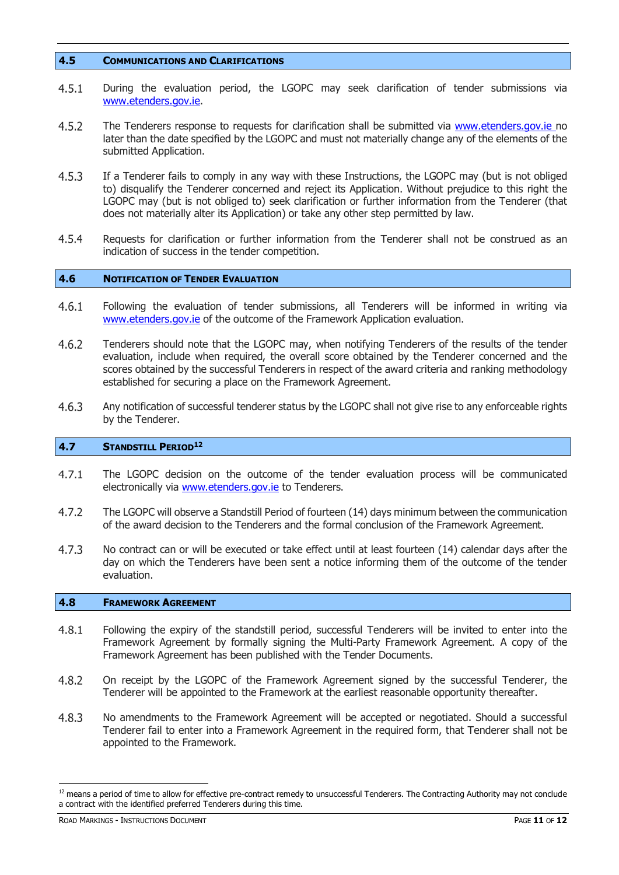#### **4.5 COMMUNICATIONS AND CLARIFICATIONS**

- $4.5.1$ During the evaluation period, the LGOPC may seek clarification of tender submissions via www.etenders.gov.ie.
- $4.5.2$ The Tenderers response to requests for clarification shall be submitted via www.etenders.gov.ie no later than the date specified by the LGOPC and must not materially change any of the elements of the submitted Application.
- $4.5.3$ If a Tenderer fails to comply in any way with these Instructions, the LGOPC may (but is not obliged to) disqualify the Tenderer concerned and reject its Application. Without prejudice to this right the LGOPC may (but is not obliged to) seek clarification or further information from the Tenderer (that does not materially alter its Application) or take any other step permitted by law.
- $4.5.4$ Requests for clarification or further information from the Tenderer shall not be construed as an indication of success in the tender competition.

#### **4.6 NOTIFICATION OF TENDER EVALUATION**

- $4.6.1$ Following the evaluation of tender submissions, all Tenderers will be informed in writing via www.etenders.gov.ie of the outcome of the Framework Application evaluation.
- $4.6.2$ Tenderers should note that the LGOPC may, when notifying Tenderers of the results of the tender evaluation, include when required, the overall score obtained by the Tenderer concerned and the scores obtained by the successful Tenderers in respect of the award criteria and ranking methodology established for securing a place on the Framework Agreement.
- $4.6.3$ Any notification of successful tenderer status by the LGOPC shall not give rise to any enforceable rights by the Tenderer.

#### **4.7 STANDSTILL PERIOD12**

- $4.7.1$ The LGOPC decision on the outcome of the tender evaluation process will be communicated electronically via www.etenders.gov.ie to Tenderers.
- 4.7.2 The LGOPC will observe a Standstill Period of fourteen (14) days minimum between the communication of the award decision to the Tenderers and the formal conclusion of the Framework Agreement.
- 4.7.3 No contract can or will be executed or take effect until at least fourteen (14) calendar days after the day on which the Tenderers have been sent a notice informing them of the outcome of the tender evaluation.

#### **4.8 FRAMEWORK AGREEMENT**

- 4.8.1 Following the expiry of the standstill period, successful Tenderers will be invited to enter into the Framework Agreement by formally signing the Multi-Party Framework Agreement. A copy of the Framework Agreement has been published with the Tender Documents.
- 4.8.2 On receipt by the LGOPC of the Framework Agreement signed by the successful Tenderer, the Tenderer will be appointed to the Framework at the earliest reasonable opportunity thereafter.
- 4.8.3 No amendments to the Framework Agreement will be accepted or negotiated. Should a successful Tenderer fail to enter into a Framework Agreement in the required form, that Tenderer shall not be appointed to the Framework.

 $12$  means a period of time to allow for effective pre-contract remedy to unsuccessful Tenderers. The Contracting Authority may not conclude a contract with the identified preferred Tenderers during this time.

ROAD MARKINGS - INSTRUCTIONS DOCUMENT **PAGE 11** OF **12**